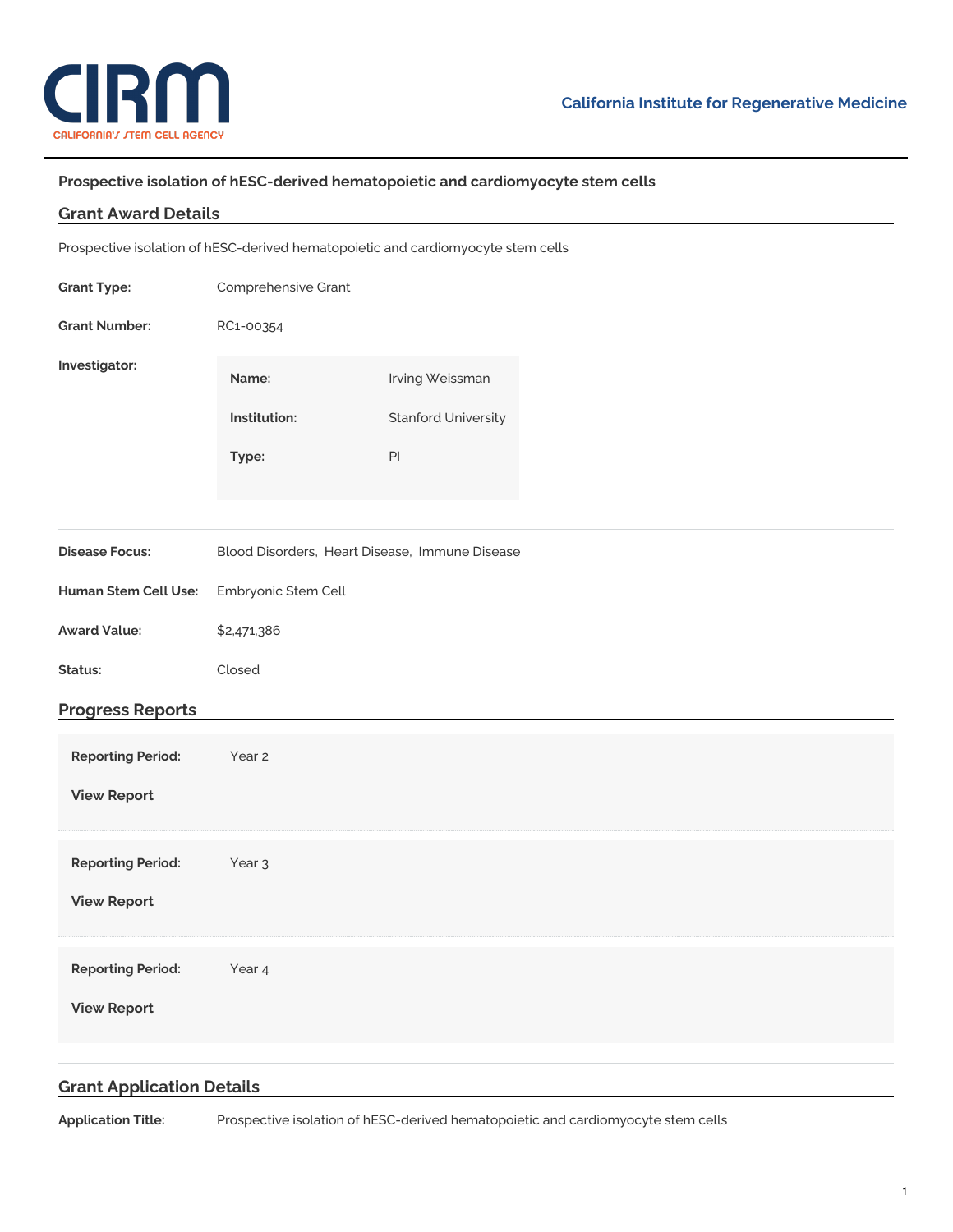

## **Prospective isolation of hESC-derived hematopoietic and cardiomyocyte stem cells**

## **Grant Award Details**

Prospective isolation of hESC-derived hematopoietic and cardiomyocyte stem cells

| <b>Grant Type:</b>                             | Comprehensive Grant                            |                                               |  |
|------------------------------------------------|------------------------------------------------|-----------------------------------------------|--|
| <b>Grant Number:</b>                           | RC1-00354                                      |                                               |  |
| Investigator:                                  | Name:<br>Institution:                          | Irving Weissman<br><b>Stanford University</b> |  |
|                                                | Type:                                          | $\mathsf{Pl}$                                 |  |
| <b>Disease Focus:</b>                          | Blood Disorders, Heart Disease, Immune Disease |                                               |  |
| <b>Human Stem Cell Use:</b>                    | Embryonic Stem Cell                            |                                               |  |
| <b>Award Value:</b>                            | \$2,471,386                                    |                                               |  |
| Status:                                        | Closed                                         |                                               |  |
| <b>Progress Reports</b>                        |                                                |                                               |  |
| <b>Reporting Period:</b><br><b>View Report</b> | Year 2                                         |                                               |  |
|                                                |                                                |                                               |  |
| <b>Reporting Period:</b><br><b>View Report</b> | Year <sub>3</sub>                              |                                               |  |
| <b>Reporting Period:</b><br><b>View Report</b> | Year 4                                         |                                               |  |
|                                                |                                                |                                               |  |

## **Grant Application Details**

**Application Title:** Prospective isolation of hESC-derived hematopoietic and cardiomyocyte stem cells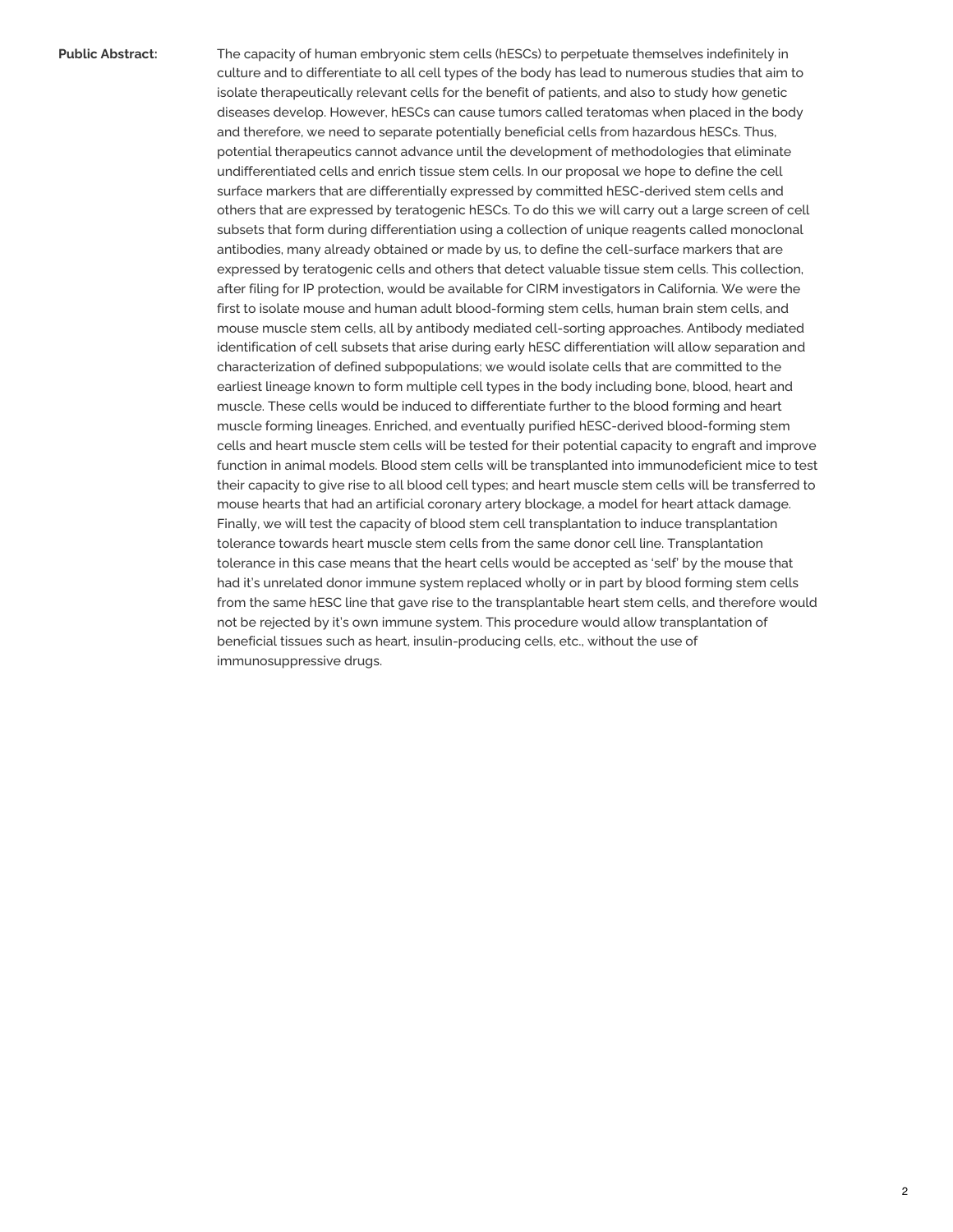**Public Abstract:** The capacity of human embryonic stem cells (hESCs) to perpetuate themselves indefinitely in culture and to differentiate to all cell types of the body has lead to numerous studies that aim to isolate therapeutically relevant cells for the benefit of patients, and also to study how genetic diseases develop. However, hESCs can cause tumors called teratomas when placed in the body and therefore, we need to separate potentially beneficial cells from hazardous hESCs. Thus, potential therapeutics cannot advance until the development of methodologies that eliminate undifferentiated cells and enrich tissue stem cells. In our proposal we hope to define the cell surface markers that are differentially expressed by committed hESC-derived stem cells and others that are expressed by teratogenic hESCs. To do this we will carry out a large screen of cell subsets that form during differentiation using a collection of unique reagents called monoclonal antibodies, many already obtained or made by us, to define the cell-surface markers that are expressed by teratogenic cells and others that detect valuable tissue stem cells. This collection, after filing for IP protection, would be available for CIRM investigators in California. We were the first to isolate mouse and human adult blood-forming stem cells, human brain stem cells, and mouse muscle stem cells, all by antibody mediated cell-sorting approaches. Antibody mediated identification of cell subsets that arise during early hESC differentiation will allow separation and characterization of defined subpopulations; we would isolate cells that are committed to the earliest lineage known to form multiple cell types in the body including bone, blood, heart and muscle. These cells would be induced to differentiate further to the blood forming and heart muscle forming lineages. Enriched, and eventually purified hESC-derived blood-forming stem cells and heart muscle stem cells will be tested for their potential capacity to engraft and improve function in animal models. Blood stem cells will be transplanted into immunodeficient mice to test their capacity to give rise to all blood cell types; and heart muscle stem cells will be transferred to mouse hearts that had an artificial coronary artery blockage, a model for heart attack damage. Finally, we will test the capacity of blood stem cell transplantation to induce transplantation tolerance towards heart muscle stem cells from the same donor cell line. Transplantation tolerance in this case means that the heart cells would be accepted as 'self' by the mouse that had it's unrelated donor immune system replaced wholly or in part by blood forming stem cells from the same hESC line that gave rise to the transplantable heart stem cells, and therefore would not be rejected by it's own immune system. This procedure would allow transplantation of beneficial tissues such as heart, insulin-producing cells, etc., without the use of immunosuppressive drugs.